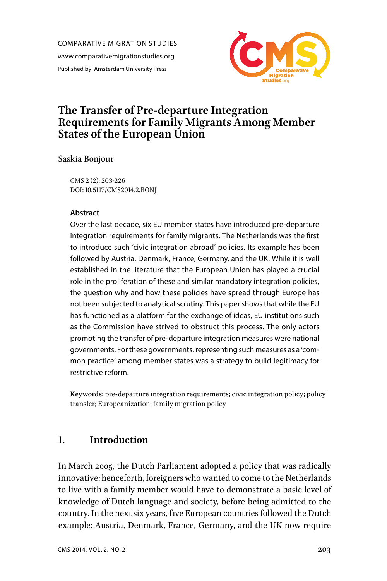COMPARATIVE MIGRATION STUDIES www.comparativemigrationstudies.org Published by: Amsterdam University Press



# **The Transfer of Pre-departure Integration Requirements for Family Migrants Among Member States of the European Union**

Saskia Bonjour

CMS 2 (2): 203-226 DOI: 10.5117/CMS2014.2.BONJ

#### **Abstract**

Over the last decade, six EU member states have introduced pre-departure integration requirements for family migrants. The Netherlands was the first to introduce such 'civic integration abroad' policies. Its example has been followed by Austria, Denmark, France, Germany, and the UK. While it is well established in the literature that the European Union has played a crucial role in the proliferation of these and similar mandatory integration policies, the question why and how these policies have spread through Europe has not been subjected to analytical scrutiny. This paper shows that while the EU has functioned as a platform for the exchange of ideas, EU institutions such as the Commission have strived to obstruct this process. The only actors promoting the transfer of pre-departure integration measures were national governments. For these governments, representing such measures as a 'common practice' among member states was a strategy to build legitimacy for restrictive reform.

**Keywords:** pre-departure integration requirements; civic integration policy; policy transfer; Europeanization; family migration policy

## **1. Introduction**

In March 2005, the Dutch Parliament adopted a policy that was radically innovative: henceforth, foreigners who wanted to come to the Netherlands to live with a family member would have to demonstrate a basic level of knowledge of Dutch language and society, before being admitted to the country. In the next six years, five European countries followed the Dutch example: Austria, Denmark, France, Germany, and the UK now require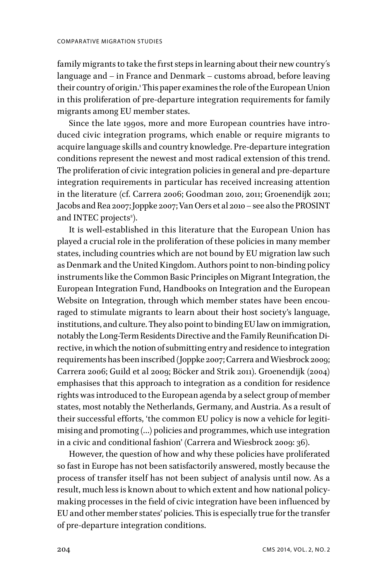family migrants to take the first steps in learning about their new country's language and – in France and Denmark – customs abroad, before leaving their country of origin.<sup>1</sup> This paper examines the role of the European Union in this proliferation of pre-departure integration requirements for family migrants among EU member states.

Since the late 1990s, more and more European countries have introduced civic integration programs, which enable or require migrants to acquire language skills and country knowledge. Pre-departure integration conditions represent the newest and most radical extension of this trend. The proliferation of civic integration policies in general and pre-departure integration requirements in particular has received increasing attention in the literature (cf. Carrera 2006; Goodman 2010, 2011; Groenendijk 2011; Jacobs and Rea 2007; Joppke 2007; Van Oers et al 2010 – see also the PROSINT and INTEC projects<sup>2</sup>).

It is well-established in this literature that the European Union has played a crucial role in the proliferation of these policies in many member states, including countries which are not bound by EU migration law such as Denmark and the United Kingdom. Authors point to non-binding policy instruments like the Common Basic Principles on Migrant Integration, the European Integration Fund, Handbooks on Integration and the European Website on Integration, through which member states have been encouraged to stimulate migrants to learn about their host society's language, institutions, and culture. They also point to binding EU law on immigration, notably the Long-Term Residents Directive and the Family Reunification Directive, in which the notion of submitting entry and residence to integration requirements has been inscribed (Joppke 2007; Carrera and Wiesbrock 2009; Carrera 2006; Guild et al 2009; Böcker and Strik 2011). Groenendijk (2004) emphasises that this approach to integration as a condition for residence rights was introduced to the European agenda by a select group of member states, most notably the Netherlands, Germany, and Austria. As a result of their successful efforts, 'the common EU policy is now a vehicle for legitimising and promoting (…) policies and programmes, which use integration in a civic and conditional fashion' (Carrera and Wiesbrock 2009: 36).

However, the question of how and why these policies have proliferated so fast in Europe has not been satisfactorily answered, mostly because the process of transfer itself has not been subject of analysis until now. As a result, much less is known about to which extent and how national policymaking processes in the field of civic integration have been influenced by EU and other member states' policies. This is especially true for the transfer of pre-departure integration conditions.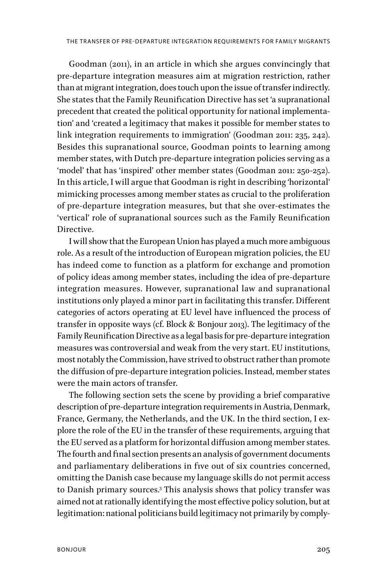Goodman (2011), in an article in which she argues convincingly that pre-departure integration measures aim at migration restriction, rather than at migrant integration, does touch upon the issue of transfer indirectly. She states that the Family Reunification Directive has set 'a supranational precedent that created the political opportunity for national implementation' and 'created a legitimacy that makes it possible for member states to link integration requirements to immigration' (Goodman 2011: 235, 242). Besides this supranational source, Goodman points to learning among member states, with Dutch pre-departure integration policies serving as a 'model' that has 'inspired' other member states (Goodman 2011: 250-252). In this article, I will argue that Goodman is right in describing 'horizontal' mimicking processes among member states as crucial to the proliferation of pre-departure integration measures, but that she over-estimates the 'vertical' role of supranational sources such as the Family Reunification Directive.

I will show that the European Union has played a much more ambiguous role. As a result of the introduction of European migration policies, the EU has indeed come to function as a platform for exchange and promotion of policy ideas among member states, including the idea of pre-departure integration measures. However, supranational law and supranational institutions only played a minor part in facilitating this transfer. Different categories of actors operating at EU level have influenced the process of transfer in opposite ways (cf. Block & Bonjour 2013). The legitimacy of the Family Reunification Directive as a legal basis for pre-departure integration measures was controversial and weak from the very start. EU institutions, most notably the Commission, have strived to obstruct rather than promote the difffusion of pre-departure integration policies. Instead, member states were the main actors of transfer.

The following section sets the scene by providing a brief comparative description of pre-departure integration requirements in Austria, Denmark, France, Germany, the Netherlands, and the UK. In the third section, I explore the role of the EU in the transfer of these requirements, arguing that the EU served as a platform for horizontal difffusion among member states. The fourth and final section presents an analysis of government documents and parliamentary deliberations in five out of six countries concerned, omitting the Danish case because my language skills do not permit access to Danish primary sources.3 This analysis shows that policy transfer was aimed not at rationally identifying the most efffective policy solution, but at legitimation: national politicians build legitimacy not primarily by comply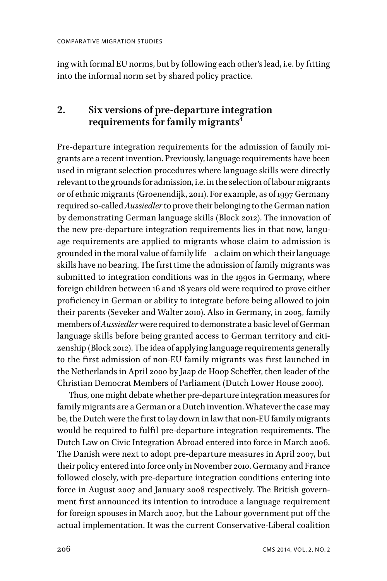COMPARATIVE MIGRATION STUDIES

ing with formal EU norms, but by following each other's lead, i.e. by fitting into the informal norm set by shared policy practice.

## **2. Six versions of pre-departure integration**  requirements for family migrants<sup>4</sup>

Pre-departure integration requirements for the admission of family migrants are a recent invention. Previously, language requirements have been used in migrant selection procedures where language skills were directly relevant to the grounds for admission, i.e. in the selection of labour migrants or of ethnic migrants (Groenendijk, 2011). For example, as of 1997 Germany required so-called *Aussiedler* to prove their belonging to the German nation by demonstrating German language skills (Block 2012). The innovation of the new pre-departure integration requirements lies in that now, language requirements are applied to migrants whose claim to admission is grounded in the moral value of family life – a claim on which their language skills have no bearing. The first time the admission of family migrants was submitted to integration conditions was in the 1990s in Germany, where foreign children between 16 and 18 years old were required to prove either proficiency in German or ability to integrate before being allowed to join their parents (Seveker and Walter 2010). Also in Germany, in 2005, family members of *Aussiedler* were required to demonstrate a basic level of German language skills before being granted access to German territory and citizenship (Block 2012). The idea of applying language requirements generally to the first admission of non-EU family migrants was first launched in the Netherlands in April 2000 by Jaap de Hoop Scheffer, then leader of the Christian Democrat Members of Parliament (Dutch Lower House 2000).

Thus, one might debate whether pre-departure integration measures for family migrants are a German or a Dutch invention. Whatever the case may be, the Dutch were the first to lay down in law that non-EU family migrants would be required to fulfil pre-departure integration requirements. The Dutch Law on Civic Integration Abroad entered into force in March 2006. The Danish were next to adopt pre-departure measures in April 2007, but their policy entered into force only in November 2010. Germany and France followed closely, with pre-departure integration conditions entering into force in August 2007 and January 2008 respectively. The British government first announced its intention to introduce a language requirement for foreign spouses in March 2007, but the Labour government put offf the actual implementation. It was the current Conservative-Liberal coalition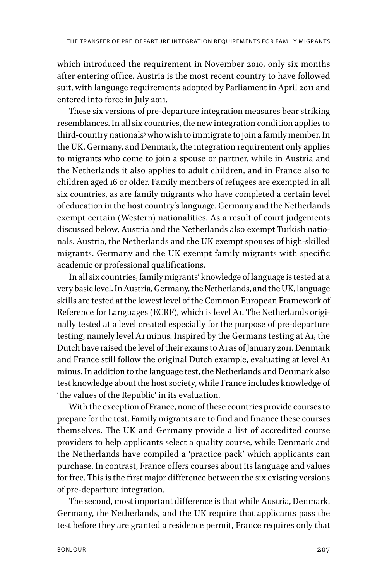which introduced the requirement in November 2010, only six months after entering office. Austria is the most recent country to have followed suit, with language requirements adopted by Parliament in April 2011 and entered into force in July 2011.

These six versions of pre-departure integration measures bear striking resemblances. In all six countries, the new integration condition applies to third-country nationals<sup>5</sup> who wish to immigrate to join a family member. In the UK, Germany, and Denmark, the integration requirement only applies to migrants who come to join a spouse or partner, while in Austria and the Netherlands it also applies to adult children, and in France also to children aged 16 or older. Family members of refugees are exempted in all six countries, as are family migrants who have completed a certain level of education in the host country´s language. Germany and the Netherlands exempt certain (Western) nationalities. As a result of court judgements discussed below, Austria and the Netherlands also exempt Turkish nationals. Austria, the Netherlands and the UK exempt spouses of high-skilled migrants. Germany and the UK exempt family migrants with specific academic or professional qualifications.

In all six countries, family migrants' knowledge of language is tested at a very basic level. In Austria, Germany, the Netherlands, and the UK, language skills are tested at the lowest level of the Common European Framework of Reference for Languages (ECRF), which is level A1. The Netherlands originally tested at a level created especially for the purpose of pre-departure testing, namely level A1 minus. Inspired by the Germans testing at A1, the Dutch have raised the level of their exams to A1 as of January 2011. Denmark and France still follow the original Dutch example, evaluating at level A1 minus. In addition to the language test, the Netherlands and Denmark also test knowledge about the host society, while France includes knowledge of 'the values of the Republic' in its evaluation.

With the exception of France, none of these countries provide courses to prepare for the test. Family migrants are to find and finance these courses themselves. The UK and Germany provide a list of accredited course providers to help applicants select a quality course, while Denmark and the Netherlands have compiled a 'practice pack' which applicants can purchase. In contrast, France offers courses about its language and values for free. This is the first major difference between the six existing versions of pre-departure integration.

The second, most important difference is that while Austria, Denmark, Germany, the Netherlands, and the UK require that applicants pass the test before they are granted a residence permit, France requires only that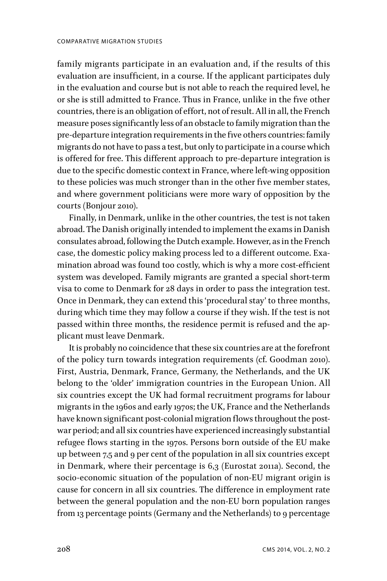family migrants participate in an evaluation and, if the results of this evaluation are insufficient, in a course. If the applicant participates duly in the evaluation and course but is not able to reach the required level, he or she is still admitted to France. Thus in France, unlike in the five other countries, there is an obligation of efffort, not of result. All in all, the French measure poses significantly less of an obstacle to family migration than the pre-departure integration requirements in the five others countries: family migrants do not have to pass a test, but only to participate in a course which is offered for free. This different approach to pre-departure integration is due to the specific domestic context in France, where left-wing opposition to these policies was much stronger than in the other five member states, and where government politicians were more wary of opposition by the courts (Bonjour 2010).

Finally, in Denmark, unlike in the other countries, the test is not taken abroad. The Danish originally intended to implement the exams in Danish consulates abroad, following the Dutch example. However, as in the French case, the domestic policy making process led to a different outcome. Examination abroad was found too costly, which is why a more cost-efficient system was developed. Family migrants are granted a special short-term visa to come to Denmark for 28 days in order to pass the integration test. Once in Denmark, they can extend this 'procedural stay' to three months, during which time they may follow a course if they wish. If the test is not passed within three months, the residence permit is refused and the applicant must leave Denmark.

It is probably no coincidence that these six countries are at the forefront of the policy turn towards integration requirements (cf. Goodman 2010). First, Austria, Denmark, France, Germany, the Netherlands, and the UK belong to the 'older' immigration countries in the European Union. All six countries except the UK had formal recruitment programs for labour migrants in the 1960s and early 1970s; the UK, France and the Netherlands have known significant post-colonial migration flows throughout the postwar period; and all six countries have experienced increasingly substantial refugee flows starting in the 1970s. Persons born outside of the EU make up between 7,5 and 9 per cent of the population in all six countries except in Denmark, where their percentage is 6,3 (Eurostat 2011a). Second, the socio-economic situation of the population of non-EU migrant origin is cause for concern in all six countries. The difference in employment rate between the general population and the non-EU born population ranges from 13 percentage points (Germany and the Netherlands) to 9 percentage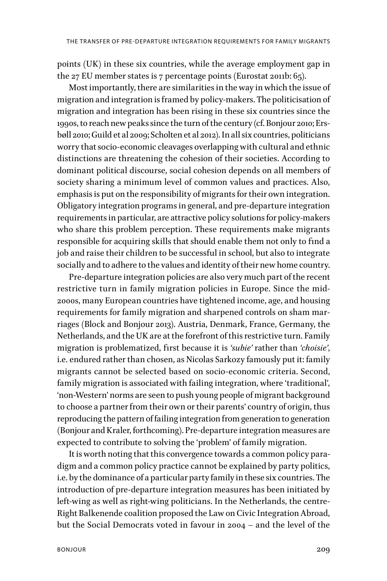points (UK) in these six countries, while the average employment gap in the 27 EU member states is 7 percentage points (Eurostat 2011b: 65).

Most importantly, there are similarities in the way in which the issue of migration and integration is framed by policy-makers. The politicisation of migration and integration has been rising in these six countries since the 1990s, to reach new peaks since the turn of the century (cf. Bonjour 2010; Ersbøll 2010; Guild et al 2009; Scholten et al 2012). In all six countries, politicians worry that socio-economic cleavages overlapping with cultural and ethnic distinctions are threatening the cohesion of their societies. According to dominant political discourse, social cohesion depends on all members of society sharing a minimum level of common values and practices. Also, emphasis is put on the responsibility of migrants for their own integration. Obligatory integration programs in general, and pre-departure integration requirements in particular, are attractive policy solutions for policy-makers who share this problem perception. These requirements make migrants responsible for acquiring skills that should enable them not only to find a job and raise their children to be successful in school, but also to integrate socially and to adhere to the values and identity of their new home country.

Pre-departure integration policies are also very much part of the recent restrictive turn in family migration policies in Europe. Since the mid-2000s, many European countries have tightened income, age, and housing requirements for family migration and sharpened controls on sham marriages (Block and Bonjour 2013). Austria, Denmark, France, Germany, the Netherlands, and the UK are at the forefront of this restrictive turn. Family migration is problematized, first because it is 'subie' rather than 'choisie', i.e. endured rather than chosen, as Nicolas Sarkozy famously put it: family migrants cannot be selected based on socio-economic criteria. Second, family migration is associated with failing integration, where 'traditional', 'non-Western' norms are seen to push young people of migrant background to choose a partner from their own or their parents' country of origin, thus reproducing the pattern of failing integration from generation to generation (Bonjour and Kraler, forthcoming). Pre-departure integration measures are expected to contribute to solving the 'problem' of family migration.

It is worth noting that this convergence towards a common policy paradigm and a common policy practice cannot be explained by party politics, i.e. by the dominance of a particular party family in these six countries. The introduction of pre-departure integration measures has been initiated by left-wing as well as right-wing politicians. In the Netherlands, the centre-Right Balkenende coalition proposed the Law on Civic Integration Abroad, but the Social Democrats voted in favour in 2004 – and the level of the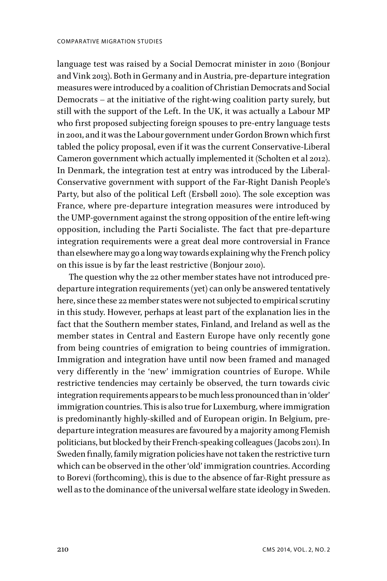language test was raised by a Social Democrat minister in 2010 (Bonjour and Vink 2013). Both in Germany and in Austria, pre-departure integration measures were introduced by a coalition of Christian Democrats and Social Democrats – at the initiative of the right-wing coalition party surely, but still with the support of the Left. In the UK, it was actually a Labour MP who first proposed subjecting foreign spouses to pre-entry language tests in 2001, and it was the Labour government under Gordon Brown which first tabled the policy proposal, even if it was the current Conservative-Liberal Cameron government which actually implemented it (Scholten et al 2012). In Denmark, the integration test at entry was introduced by the Liberal-Conservative government with support of the Far-Right Danish People's Party, but also of the political Left (Ersbøll 2010). The sole exception was France, where pre-departure integration measures were introduced by the UMP-government against the strong opposition of the entire left-wing opposition, including the Parti Socialiste. The fact that pre-departure integration requirements were a great deal more controversial in France than elsewhere may go a long way towards explaining why the French policy on this issue is by far the least restrictive (Bonjour 2010).

The question why the 22 other member states have not introduced predeparture integration requirements (yet) can only be answered tentatively here, since these 22 member states were not subjected to empirical scrutiny in this study. However, perhaps at least part of the explanation lies in the fact that the Southern member states, Finland, and Ireland as well as the member states in Central and Eastern Europe have only recently gone from being countries of emigration to being countries of immigration. Immigration and integration have until now been framed and managed very differently in the 'new' immigration countries of Europe. While restrictive tendencies may certainly be observed, the turn towards civic integration requirements appears to be much less pronounced than in 'older' immigration countries. This is also true for Luxemburg, where immigration is predominantly highly-skilled and of European origin. In Belgium, predeparture integration measures are favoured by a majority among Flemish politicians, but blocked by their French-speaking colleagues (Jacobs 2011). In Sweden finally, family migration policies have not taken the restrictive turn which can be observed in the other 'old' immigration countries. According to Borevi (forthcoming), this is due to the absence of far-Right pressure as well as to the dominance of the universal welfare state ideology in Sweden.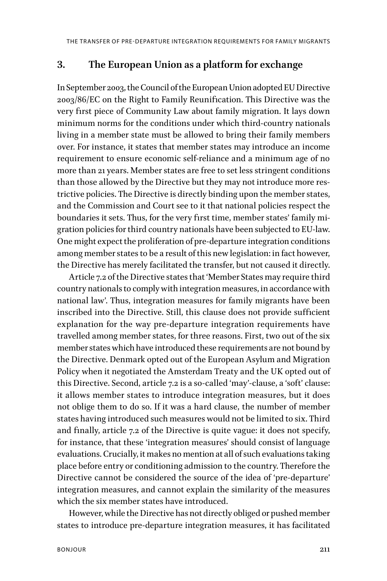## **3. The European Union as a platform for exchange**

In September 2003, the Council of the European Union adopted EU Directive  $2003/86/EC$  on the Right to Family Reunification. This Directive was the very first piece of Community Law about family migration. It lays down minimum norms for the conditions under which third-country nationals living in a member state must be allowed to bring their family members over. For instance, it states that member states may introduce an income requirement to ensure economic self-reliance and a minimum age of no more than 21 years. Member states are free to set less stringent conditions than those allowed by the Directive but they may not introduce more restrictive policies. The Directive is directly binding upon the member states, and the Commission and Court see to it that national policies respect the boundaries it sets. Thus, for the very first time, member states' family migration policies for third country nationals have been subjected to EU-law. One might expect the proliferation of pre-departure integration conditions among member states to be a result of this new legislation: in fact however, the Directive has merely facilitated the transfer, but not caused it directly.

Article 7.2 of the Directive states that 'Member States may require third country nationals to comply with integration measures, in accordance with national law'. Thus, integration measures for family migrants have been inscribed into the Directive. Still, this clause does not provide sufficient explanation for the way pre-departure integration requirements have travelled among member states, for three reasons. First, two out of the six member states which have introduced these requirements are not bound by the Directive. Denmark opted out of the European Asylum and Migration Policy when it negotiated the Amsterdam Treaty and the UK opted out of this Directive. Second, article 7.2 is a so-called 'may'-clause, a 'soft' clause: it allows member states to introduce integration measures, but it does not oblige them to do so. If it was a hard clause, the number of member states having introduced such measures would not be limited to six. Third and finally, article 7.2 of the Directive is quite vague: it does not specify, for instance, that these 'integration measures' should consist of language evaluations. Crucially, it makes no mention at all of such evaluations taking place before entry or conditioning admission to the country. Therefore the Directive cannot be considered the source of the idea of 'pre-departure' integration measures, and cannot explain the similarity of the measures which the six member states have introduced.

However, while the Directive has not directly obliged or pushed member states to introduce pre-departure integration measures, it has facilitated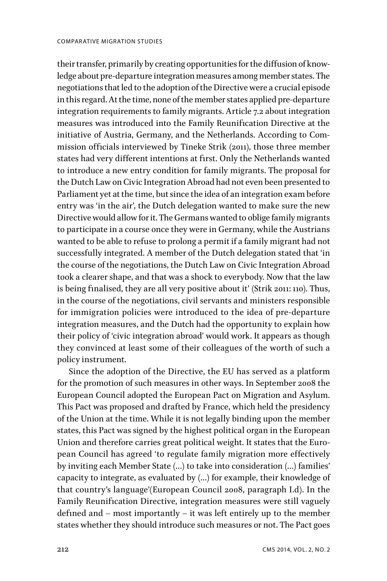their transfer, primarily by creating opportunities for the difffusion of knowledge about pre-departure integration measures among member states. The negotiations that led to the adoption of the Directive were a crucial episode in this regard. At the time, none of the member states applied pre-departure integration requirements to family migrants. Article 7.2 about integration measures was introduced into the Family Reunification Directive at the initiative of Austria, Germany, and the Netherlands. According to Commission officials interviewed by Tineke Strik (2011), those three member states had very different intentions at first. Only the Netherlands wanted to introduce a new entry condition for family migrants. The proposal for the Dutch Law on Civic Integration Abroad had not even been presented to Parliament yet at the time, but since the idea of an integration exam before entry was 'in the air', the Dutch delegation wanted to make sure the new Directive would allow for it. The Germans wanted to oblige family migrants to participate in a course once they were in Germany, while the Austrians wanted to be able to refuse to prolong a permit if a family migrant had not successfully integrated. A member of the Dutch delegation stated that 'in the course of the negotiations, the Dutch Law on Civic Integration Abroad took a clearer shape, and that was a shock to everybody. Now that the law is being finalised, they are all very positive about it' (Strik 2011: 110). Thus, in the course of the negotiations, civil servants and ministers responsible for immigration policies were introduced to the idea of pre-departure integration measures, and the Dutch had the opportunity to explain how their policy of 'civic integration abroad' would work. It appears as though they convinced at least some of their colleagues of the worth of such a policy instrument.

Since the adoption of the Directive, the EU has served as a platform for the promotion of such measures in other ways. In September 2008 the European Council adopted the European Pact on Migration and Asylum. This Pact was proposed and drafted by France, which held the presidency of the Union at the time. While it is not legally binding upon the member states, this Pact was signed by the highest political organ in the European Union and therefore carries great political weight. It states that the European Council has agreed 'to regulate family migration more effectively by inviting each Member State (…) to take into consideration (…) families' capacity to integrate, as evaluated by (…) for example, their knowledge of that country's language'(European Council 2008, paragraph I.d). In the Family Reunification Directive, integration measures were still vaguely defined and – most importantly – it was left entirely up to the member states whether they should introduce such measures or not. The Pact goes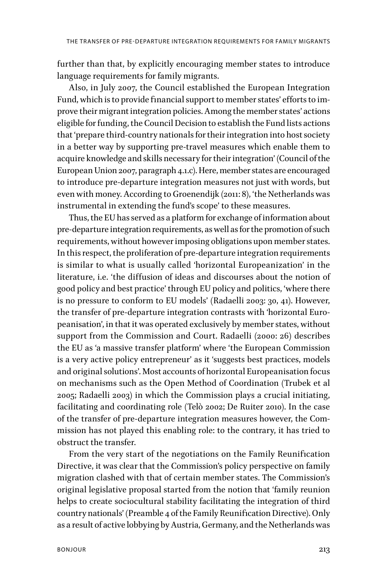further than that, by explicitly encouraging member states to introduce language requirements for family migrants.

Also, in July 2007, the Council established the European Integration Fund, which is to provide financial support to member states' efforts to improve their migrant integration policies. Among the member states' actions eligible for funding, the Council Decision to establish the Fund lists actions that 'prepare third-country nationals for their integration into host society in a better way by supporting pre-travel measures which enable them to acquire knowledge and skills necessary for their integration' (Council of the European Union 2007, paragraph 4.1.c). Here, member states are encouraged to introduce pre-departure integration measures not just with words, but even with money. According to Groenendijk (2011: 8), 'the Netherlands was instrumental in extending the fund's scope' to these measures.

Thus, the EU has served as a platform for exchange of information about pre-departure integration requirements, as well as for the promotion of such requirements, without however imposing obligations upon member states. In this respect, the proliferation of pre-departure integration requirements is similar to what is usually called 'horizontal Europeanization' in the literature, i.e. 'the difffusion of ideas and discourses about the notion of good policy and best practice' through EU policy and politics, 'where there is no pressure to conform to EU models' (Radaelli 2003: 30, 41). However, the transfer of pre-departure integration contrasts with 'horizontal Europeanisation', in that it was operated exclusively by member states, without support from the Commission and Court. Radaelli (2000: 26) describes the EU as 'a massive transfer platform' where 'the European Commission is a very active policy entrepreneur' as it 'suggests best practices, models and original solutions'. Most accounts of horizontal Europeanisation focus on mechanisms such as the Open Method of Coordination (Trubek et al 2005; Radaelli 2003) in which the Commission plays a crucial initiating, facilitating and coordinating role (Telò 2002; De Ruiter 2010). In the case of the transfer of pre-departure integration measures however, the Commission has not played this enabling role: to the contrary, it has tried to obstruct the transfer.

From the very start of the negotiations on the Family Reunification Directive, it was clear that the Commission's policy perspective on family migration clashed with that of certain member states. The Commission's original legislative proposal started from the notion that 'family reunion helps to create sociocultural stability facilitating the integration of third country nationals' (Preamble 4 of the Family Reunification Directive). Only as a result of active lobbying by Austria, Germany, and the Netherlands was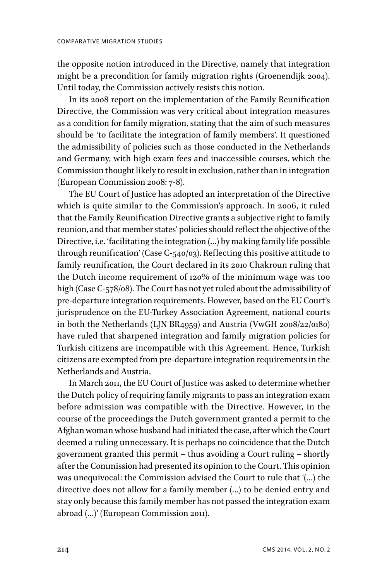the opposite notion introduced in the Directive, namely that integration might be a precondition for family migration rights (Groenendijk 2004). Until today, the Commission actively resists this notion.

In its 2008 report on the implementation of the Family Reunification Directive, the Commission was very critical about integration measures as a condition for family migration, stating that the aim of such measures should be 'to facilitate the integration of family members'. It questioned the admissibility of policies such as those conducted in the Netherlands and Germany, with high exam fees and inaccessible courses, which the Commission thought likely to result in exclusion, rather than in integration (European Commission 2008: 7-8).

The EU Court of Justice has adopted an interpretation of the Directive which is quite similar to the Commission's approach. In 2006, it ruled that the Family Reunification Directive grants a subjective right to family reunion, and that member states' policies should reflect the objective of the Directive, i.e. 'facilitating the integration (…) by making family life possible through reunification' (Case C-540/03). Reflecting this positive attitude to family reunification, the Court declared in its 2010 Chakroun ruling that the Dutch income requirement of 120% of the minimum wage was too high (Case C-578/08). The Court has not yet ruled about the admissibility of pre-departure integration requirements. However, based on the EU Court's jurisprudence on the EU-Turkey Association Agreement, national courts in both the Netherlands (LJN BR4959) and Austria (VwGH 2008/22/0180) have ruled that sharpened integration and family migration policies for Turkish citizens are incompatible with this Agreement. Hence, Turkish citizens are exempted from pre-departure integration requirements in the Netherlands and Austria.

In March 2011, the EU Court of Justice was asked to determine whether the Dutch policy of requiring family migrants to pass an integration exam before admission was compatible with the Directive. However, in the course of the proceedings the Dutch government granted a permit to the Afghan woman whose husband had initiated the case, after which the Court deemed a ruling unnecessary. It is perhaps no coincidence that the Dutch government granted this permit – thus avoiding a Court ruling – shortly after the Commission had presented its opinion to the Court. This opinion was unequivocal: the Commission advised the Court to rule that '(…) the directive does not allow for a family member (…) to be denied entry and stay only because this family member has not passed the integration exam abroad (…)' (European Commission 2011).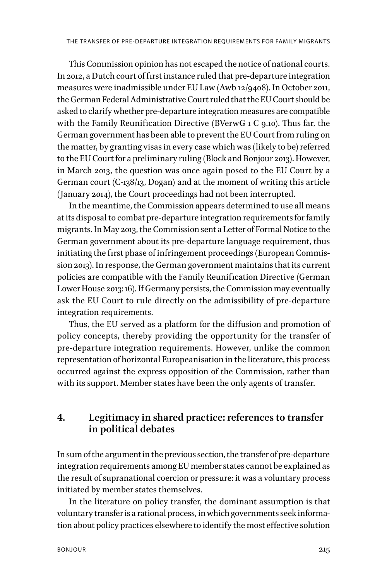This Commission opinion has not escaped the notice of national courts. In 2012, a Dutch court of first instance ruled that pre-departure integration measures were inadmissible under EU Law (Awb 12/9408). In October 2011, the German Federal Administrative Court ruled that the EU Court should be asked to clarify whether pre-departure integration measures are compatible with the Family Reunification Directive (BVerwG  $1 C 9.10$ ). Thus far, the German government has been able to prevent the EU Court from ruling on the matter, by granting visas in every case which was (likely to be) referred to the EU Court for a preliminary ruling (Block and Bonjour 2013). However, in March 2013, the question was once again posed to the EU Court by a German court (C-138/13, Dogan) and at the moment of writing this article (January 2014), the Court proceedings had not been interrupted.

In the meantime, the Commission appears determined to use all means at its disposal to combat pre-departure integration requirements for family migrants. In May 2013, the Commission sent a Letter of Formal Notice to the German government about its pre-departure language requirement, thus initiating the first phase of infringement proceedings (European Commission 2013). In response, the German government maintains that its current policies are compatible with the Family Reunification Directive (German Lower House 2013: 16). If Germany persists, the Commission may eventually ask the EU Court to rule directly on the admissibility of pre-departure integration requirements.

Thus, the EU served as a platform for the difffusion and promotion of policy concepts, thereby providing the opportunity for the transfer of pre-departure integration requirements. However, unlike the common representation of horizontal Europeanisation in the literature, this process occurred against the express opposition of the Commission, rather than with its support. Member states have been the only agents of transfer.

## **4. Legitimacy in shared practice: references to transfer in political debates**

In sum of the argument in the previous section, the transfer of pre-departure integration requirements among EU member states cannot be explained as the result of supranational coercion or pressure: it was a voluntary process initiated by member states themselves.

In the literature on policy transfer, the dominant assumption is that voluntary transfer is a rational process, in which governments seek information about policy practices elsewhere to identify the most efffective solution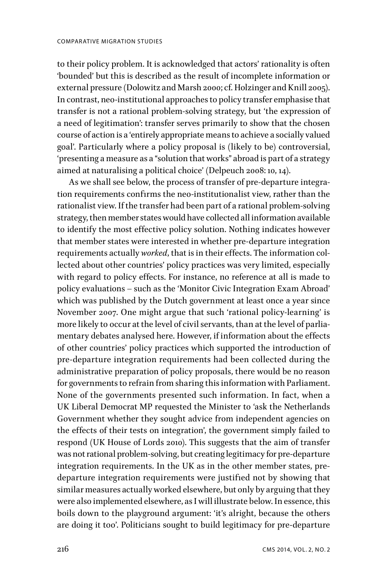to their policy problem. It is acknowledged that actors' rationality is often 'bounded' but this is described as the result of incomplete information or external pressure (Dolowitz and Marsh 2000; cf. Holzinger and Knill 2005). In contrast, neo-institutional approaches to policy transfer emphasise that transfer is not a rational problem-solving strategy, but 'the expression of a need of legitimation': transfer serves primarily to show that the chosen course of action is a 'entirely appropriate means to achieve a socially valued goal'. Particularly where a policy proposal is (likely to be) controversial, 'presenting a measure as a "solution that works" abroad is part of a strategy aimed at naturalising a political choice' (Delpeuch 2008: 10, 14).

As we shall see below, the process of transfer of pre-departure integration requirements confirms the neo-institutionalist view, rather than the rationalist view. If the transfer had been part of a rational problem-solving strategy, then member states would have collected all information available to identify the most efffective policy solution. Nothing indicates however that member states were interested in whether pre-departure integration requirements actually *worked*, that is in their effects. The information collected about other countries' policy practices was very limited, especially with regard to policy effects. For instance, no reference at all is made to policy evaluations – such as the 'Monitor Civic Integration Exam Abroad' which was published by the Dutch government at least once a year since November 2007. One might argue that such 'rational policy-learning' is more likely to occur at the level of civil servants, than at the level of parliamentary debates analysed here. However, if information about the efffects of other countries' policy practices which supported the introduction of pre-departure integration requirements had been collected during the administrative preparation of policy proposals, there would be no reason for governments to refrain from sharing this information with Parliament. None of the governments presented such information. In fact, when a UK Liberal Democrat MP requested the Minister to 'ask the Netherlands Government whether they sought advice from independent agencies on the efffects of their tests on integration', the government simply failed to respond (UK House of Lords 2010). This suggests that the aim of transfer was not rational problem-solving, but creating legitimacy for pre-departure integration requirements. In the UK as in the other member states, predeparture integration requirements were justified not by showing that similar measures actually worked elsewhere, but only by arguing that they were also implemented elsewhere, as I will illustrate below. In essence, this boils down to the playground argument: 'it's alright, because the others are doing it too'. Politicians sought to build legitimacy for pre-departure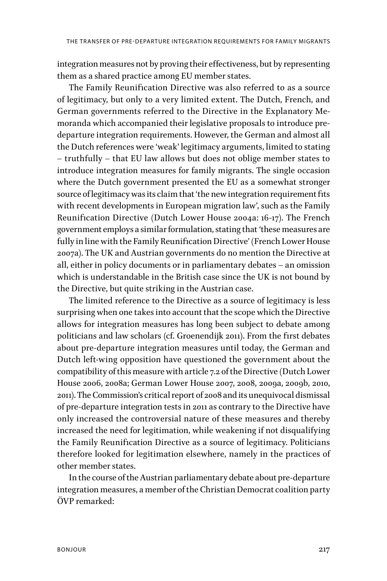integration measures not by proving their effectiveness, but by representing them as a shared practice among EU member states.

The Family Reunification Directive was also referred to as a source of legitimacy, but only to a very limited extent. The Dutch, French, and German governments referred to the Directive in the Explanatory Memoranda which accompanied their legislative proposals to introduce predeparture integration requirements. However, the German and almost all the Dutch references were 'weak' legitimacy arguments, limited to stating – truthfully – that EU law allows but does not oblige member states to introduce integration measures for family migrants. The single occasion where the Dutch government presented the EU as a somewhat stronger source of legitimacy was its claim that 'the new integration requirement fits with recent developments in European migration law', such as the Family Reunification Directive (Dutch Lower House 2004a: 16-17). The French government employs a similar formulation, stating that *'*these measures are fully in line with the Family Reunification Directive' (French Lower House 2007a). The UK and Austrian governments do no mention the Directive at all, either in policy documents or in parliamentary debates – an omission which is understandable in the British case since the UK is not bound by the Directive, but quite striking in the Austrian case.

The limited reference to the Directive as a source of legitimacy is less surprising when one takes into account that the scope which the Directive allows for integration measures has long been subject to debate among politicians and law scholars (cf. Groenendijk 2011). From the first debates about pre-departure integration measures until today, the German and Dutch left-wing opposition have questioned the government about the compatibility of this measure with article 7.2 of the Directive (Dutch Lower House 2006, 2008a; German Lower House 2007, 2008, 2009a, 2009b, 2010, 2011). The Commission's critical report of 2008 and its unequivocal dismissal of pre-departure integration tests in 2011 as contrary to the Directive have only increased the controversial nature of these measures and thereby increased the need for legitimation, while weakening if not disqualifying the Family Reunification Directive as a source of legitimacy. Politicians therefore looked for legitimation elsewhere, namely in the practices of other member states.

In the course of the Austrian parliamentary debate about pre-departure integration measures, a member of the Christian Democrat coalition party ÖVP remarked: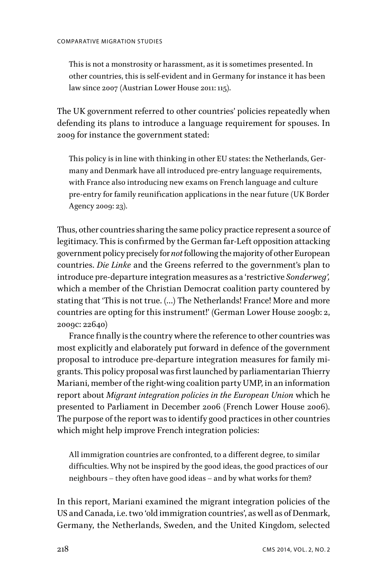This is not a monstrosity or harassment, as it is sometimes presented. In other countries, this is self-evident and in Germany for instance it has been law since 2007 (Austrian Lower House 2011: 115).

The UK government referred to other countries' policies repeatedly when defending its plans to introduce a language requirement for spouses. In 2009 for instance the government stated:

This policy is in line with thinking in other EU states: the Netherlands, Germany and Denmark have all introduced pre-entry language requirements, with France also introducing new exams on French language and culture pre-entry for family reunification applications in the near future (UK Border Agency 2009: 23).

Thus, other countries sharing the same policy practice represent a source of legitimacy. This is confirmed by the German far-Left opposition attacking government policy precisely for *not* following the majority of other European countries. *Die Linke* and the Greens referred to the government's plan to introduce pre-departure integration measures as a 'restrictive *Sonderweg',*  which a member of the Christian Democrat coalition party countered by stating that 'This is not true. (…) The Netherlands! France! More and more countries are opting for this instrument!' (German Lower House 2009b: 2, 2009c: 22640)

France finally is the country where the reference to other countries was most explicitly and elaborately put forward in defence of the government proposal to introduce pre-departure integration measures for family migrants. This policy proposal was first launched by parliamentarian Thierry Mariani, member of the right-wing coalition party UMP, in an information report about *Migrant integration policies in the European Union* which he presented to Parliament in December 2006 (French Lower House 2006). The purpose of the report was to identify good practices in other countries which might help improve French integration policies:

All immigration countries are confronted, to a different degree, to similar difficulties. Why not be inspired by the good ideas, the good practices of our neighbours – they often have good ideas – and by what works for them?

In this report, Mariani examined the migrant integration policies of the US and Canada, i.e. two 'old immigration countries', as well as of Denmark, Germany, the Netherlands, Sweden, and the United Kingdom, selected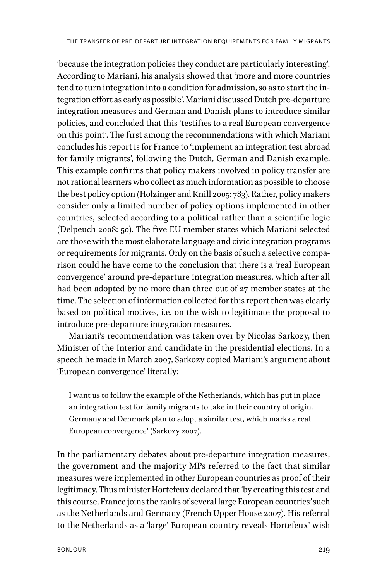'because the integration policies they conduct are particularly interesting'. According to Mariani, his analysis showed that 'more and more countries tend to turn integration into a condition for admission, so as to start the integration efffort as early as possible'. Mariani discussed Dutch pre-departure integration measures and German and Danish plans to introduce similar policies, and concluded that this 'testifies to a real European convergence on this point'. The first among the recommendations with which Mariani concludes his report is for France to 'implement an integration test abroad for family migrants', following the Dutch, German and Danish example. This example confirms that policy makers involved in policy transfer are not rational learners who collect as much information as possible to choose the best policy option (Holzinger and Knill 2005: 783). Rather, policy makers consider only a limited number of policy options implemented in other countries, selected according to a political rather than a scientific logic (Delpeuch 2008: 50). The five EU member states which Mariani selected are those with the most elaborate language and civic integration programs or requirements for migrants. Only on the basis of such a selective comparison could he have come to the conclusion that there is a 'real European convergence' around pre-departure integration measures, which after all had been adopted by no more than three out of 27 member states at the time. The selection of information collected for this report then was clearly based on political motives, i.e. on the wish to legitimate the proposal to introduce pre-departure integration measures.

Mariani's recommendation was taken over by Nicolas Sarkozy, then Minister of the Interior and candidate in the presidential elections. In a speech he made in March 2007, Sarkozy copied Mariani's argument about 'European convergence' literally:

I want us to follow the example of the Netherlands, which has put in place an integration test for family migrants to take in their country of origin. Germany and Denmark plan to adopt a similar test, which marks a real European convergence' (Sarkozy 2007).

In the parliamentary debates about pre-departure integration measures, the government and the majority MPs referred to the fact that similar measures were implemented in other European countries as proof of their legitimacy. Thus minister Hortefeux declared that *'*by creating this test and this course, France joins the ranks of several large European countries*'* such as the Netherlands and Germany (French Upper House 2007). His referral to the Netherlands as a 'large' European country reveals Hortefeux' wish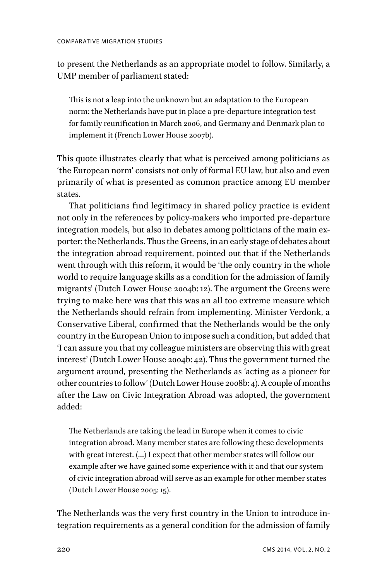to present the Netherlands as an appropriate model to follow. Similarly, a UMP member of parliament stated:

This is not a leap into the unknown but an adaptation to the European norm: the Netherlands have put in place a pre-departure integration test for family reunification in March 2006, and Germany and Denmark plan to implement it (French Lower House 2007b).

This quote illustrates clearly that what is perceived among politicians as 'the European norm' consists not only of formal EU law, but also and even primarily of what is presented as common practice among EU member states.

That politicians find legitimacy in shared policy practice is evident not only in the references by policy-makers who imported pre-departure integration models, but also in debates among politicians of the main exporter: the Netherlands. Thus the Greens, in an early stage of debates about the integration abroad requirement, pointed out that if the Netherlands went through with this reform, it would be 'the only country in the whole world to require language skills as a condition for the admission of family migrants' (Dutch Lower House 2004b: 12). The argument the Greens were trying to make here was that this was an all too extreme measure which the Netherlands should refrain from implementing. Minister Verdonk, a Conservative Liberal, confirmed that the Netherlands would be the only country in the European Union to impose such a condition, but added that 'I can assure you that my colleague ministers are observing this with great interest' (Dutch Lower House 2004b: 42). Thus the government turned the argument around, presenting the Netherlands as 'acting as a pioneer for other countries to follow' (Dutch Lower House 2008b: 4). A couple of months after the Law on Civic Integration Abroad was adopted, the government added:

The Netherlands are taking the lead in Europe when it comes to civic integration abroad. Many member states are following these developments with great interest. (…) I expect that other member states will follow our example after we have gained some experience with it and that our system of civic integration abroad will serve as an example for other member states (Dutch Lower House 2005: 15).

The Netherlands was the very first country in the Union to introduce integration requirements as a general condition for the admission of family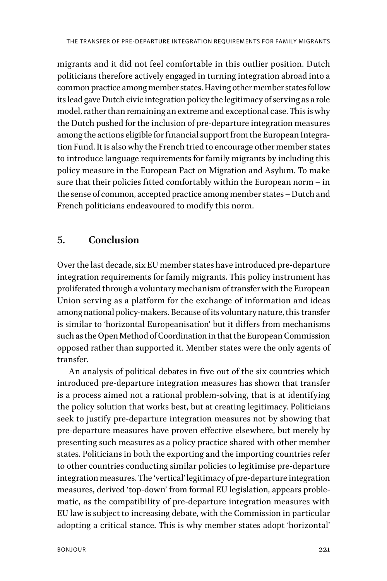migrants and it did not feel comfortable in this outlier position. Dutch politicians therefore actively engaged in turning integration abroad into a common practice among member states. Having other member states follow its lead gave Dutch civic integration policy the legitimacy of serving as a role model, rather than remaining an extreme and exceptional case. This is why the Dutch pushed for the inclusion of pre-departure integration measures among the actions eligible for financial support from the European Integration Fund. It is also why the French tried to encourage other member states to introduce language requirements for family migrants by including this policy measure in the European Pact on Migration and Asylum. To make sure that their policies fitted comfortably within the European norm – in the sense of common, accepted practice among member states – Dutch and French politicians endeavoured to modify this norm.

## **5. Conclusion**

Over the last decade, six EU member states have introduced pre-departure integration requirements for family migrants. This policy instrument has proliferated through a voluntary mechanism of transfer with the European Union serving as a platform for the exchange of information and ideas among national policy-makers. Because of its voluntary nature, this transfer is similar to 'horizontal Europeanisation' but it differs from mechanisms such as the Open Method of Coordination in that the European Commission opposed rather than supported it. Member states were the only agents of transfer.

An analysis of political debates in five out of the six countries which introduced pre-departure integration measures has shown that transfer is a process aimed not a rational problem-solving, that is at identifying the policy solution that works best, but at creating legitimacy. Politicians seek to justify pre-departure integration measures not by showing that pre-departure measures have proven efffective elsewhere, but merely by presenting such measures as a policy practice shared with other member states. Politicians in both the exporting and the importing countries refer to other countries conducting similar policies to legitimise pre-departure integration measures. The 'vertical' legitimacy of pre-departure integration measures, derived 'top-down' from formal EU legislation, appears problematic, as the compatibility of pre-departure integration measures with EU law is subject to increasing debate, with the Commission in particular adopting a critical stance. This is why member states adopt 'horizontal'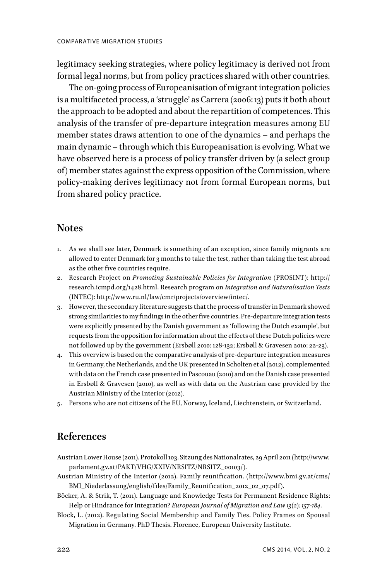legitimacy seeking strategies, where policy legitimacy is derived not from formal legal norms, but from policy practices shared with other countries.

The on-going process of Europeanisation of migrant integration policies is a multifaceted process, a 'struggle' as Carrera (2006: 13) puts it both about the approach to be adopted and about the repartition of competences. This analysis of the transfer of pre-departure integration measures among EU member states draws attention to one of the dynamics – and perhaps the main dynamic – through which this Europeanisation is evolving. What we have observed here is a process of policy transfer driven by (a select group of) member states against the express opposition of the Commission, where policy-making derives legitimacy not from formal European norms, but from shared policy practice.

### **Notes**

- 1. As we shall see later, Denmark is something of an exception, since family migrants are allowed to enter Denmark for 3 months to take the test, rather than taking the test abroad as the other five countries require.
- 2. Research Project on *Promoting Sustainable Policies for Integration* (PROSINT): http:// research.icmpd.org/1428.html. Research program on *Integration and Naturalisation Tests*  (INTEC): http://www.ru.nl/law/cmr/projects/overview/intec/.
- 3. However, the secondary literature suggests that the process of transfer in Denmark showed strong similarities to my findings in the other five countries. Pre-departure integration tests were explicitly presented by the Danish government as 'following the Dutch example', but requests from the opposition for information about the efffects of these Dutch policies were not followed up by the government (Ersbøll 2010: 128-132; Ersbøll & Gravesen 2010: 22-23).
- 4. This overview is based on the comparative analysis of pre-departure integration measures in Germany, the Netherlands, and the UK presented in Scholten et al (2012), complemented with data on the French case presented in Pascouau (2010) and on the Danish case presented in Ersbøll & Gravesen (2010), as well as with data on the Austrian case provided by the Austrian Ministry of the Interior (2012).
- 5. Persons who are not citizens of the EU, Norway, Iceland, Liechtenstein, or Switzerland.

## **References**

- Austrian Lower House (2011). Protokoll 103. Sitzung des Nationalrates, 29 April 2011 (http://www. parlament.gv.at/PAKT/VHG/XXIV/NRSITZ/NRSITZ\_00103/).
- Austrian Ministry of the Interior (2012). Family reunification. (http://www.bmi.gv.at/cms/ BMI\_Niederlassung/english/files/Family\_Reunification\_2012\_02\_07.pdf).
- Böcker, A. & Strik, T. (2011). Language and Knowledge Tests for Permanent Residence Rights: Help or Hindrance for Integration? *European Journal of Migration and Law 13(2): 157-184.*
- Block, L. (2012). Regulating Social Membership and Family Ties. Policy Frames on Spousal Migration in Germany. PhD Thesis. Florence, European University Institute.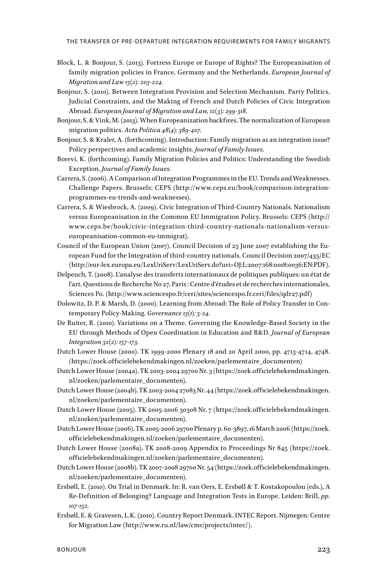- Block, L. & Bonjour, S. (2013). Fortress Europe or Europe of Rights? The Europeanisation of family migration policies in France, Germany and the Netherlands. *European Journal of Migration and Law 15(2): 203-224.*
- Bonjour, S. (2010). Between Integration Provision and Selection Mechanism. Party Politics, Judicial Constraints, and the Making of French and Dutch Policies of Civic Integration Abroad. *European Journal of Migration and Law, 12(3): 299-318.*
- Bonjour, S. & Vink, M. (2013). When Europeanization backfires. The normalization of European migration politics. *Acta Politica 48(4): 389-407.*
- Bonjour, S. & Kraler, A. (forthcoming). Introduction: Family migration as an integration issue? Policy perspectives and academic insights. *Journal of Family Issues.*
- Borevi, K. (forthcoming). Family Migration Policies and Politics: Understanding the Swedish Exception. *Journal of Family Issues.*
- Carrera, S. (2006). A Comparison of Integration Programmes in the EU. Trends and Weaknesses. Challenge Papers. Brussels: CEPS (http://www.ceps.eu/book/comparison-integrationprogrammes-eu-trends-and-weaknesses).
- Carrera, S. & Wiesbrock, A. (2009). Civic Integration of Third-Country Nationals. Nationalism versus Europeanisation in the Common EU Immigration Policy. Brussels: CEPS (http:// www.ceps.be/book/civic-integration-third-country-nationals-nationalism-versuseuropeanisation-common-eu-immigrat).
- Council of the European Union (2007). Council Decision of 25 June 2007 establishing the European Fund for the Integration of third-country nationals. Council Decision 2007/435/EC (http://eur-lex.europa.eu/LexUriServ/LexUriServ.do?uri=OJ:L:2007:168:0018:0036:EN:PDF).
- Delpeuch, T. (2008). L'analyse des transferts internationaux de politiques publiques: un état de l'art. Questions de Recherche No 27. Paris : Centre d'études et de recherches internationales, Sciences Po. (http://www.sciencespo.fr/ceri/sites/sciencespo.fr.ceri/files/qdr27.pdf)
- Dolowitz, D. P. & Marsh, D. (2000). Learning from Abroad: The Role of Policy Transfer in Contemporary Policy-Making. *Governance 13(1): 5-24.*
- De Ruiter, R. (2010). Variations on a Theme. Governing the Knowledge-Based Society in the EU through Methods of Open Coordination in Education and R&D. *Journal of European Integration 32(2): 157-173.*
- Dutch Lower House (2000). TK 1999-2000 Plenary 18 and 20 April 2000, pp. 4713-4714, 4748. (https://zoek.officielebekendmakingen.nl/zoeken/parlementaire\_documenten)
- Dutch Lower House (2004a). TK 2003-2004 29700 Nr. 3 (https://zoek.officielebekendmakingen. nl/zoeken/parlementaire\_documenten).
- Dutch Lower House (2004b). TK 2003-2004 27083 Nr. 44 (https://zoek.officielebekendmakingen. nl/zoeken/parlementaire\_documenten).
- Dutch Lower House (2005). TK 2005-2006 30308 Nr. 7 (https://zoek.officielebekendmakingen. nl/zoeken/parlementaire\_documenten).
- Dutch Lower House (2006). TK 2005-2006 29700 Plenary p. 60-3897, 16 March 2006 (https://zoek. officielebekendmakingen.nl/zoeken/parlementaire\_documenten).
- Dutch Lower House (2008a). TK 2008-2009 Appendix to Proceedings Nr 845 (https://zoek. officielebekendmakingen.nl/zoeken/parlementaire\_documenten).
- Dutch Lower House (2008b). TK 2007-2008 29700 Nr. 54 (https://zoek.officielebekendmakingen. nl/zoeken/parlementaire\_documenten).
- Ersbøll, E. (2010). On Trial in Denmark. In: R. van Oers, E. Ersbøll & T. Kostakopoulou (eds.), A Re-Definition of Belonging? Language and Integration Tests in Europe. Leiden: Brill, *pp. 107-152.*
- Ersbøll, E. & Gravesen, L.K. (2010). Country Report Denmark. INTEC Report. Nijmegen: Centre for Migration Law (http://www.ru.nl/law/cmr/projects/intec/).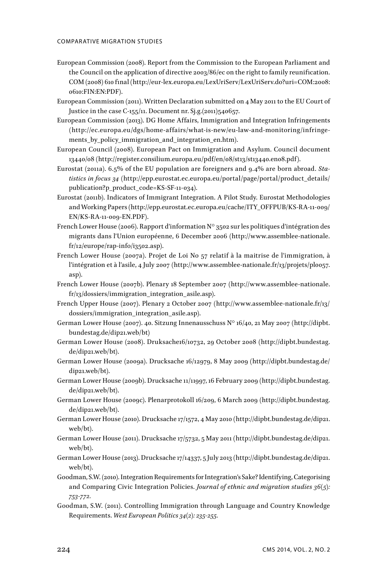#### COMPARATIVE MIGRATION STUDIES

- European Commission (2008). Report from the Commission to the European Parliament and the Council on the application of directive 2003/86/ec on the right to family reunification. COM (2008) 610 final (http://eur-lex.europa.eu/LexUriServ/LexUriServ.do?uri=COM:2008: 0610:FIN:EN:PDF).
- European Commission (2011). Written Declaration submitted on 4 May 2011 to the EU Court of Justice in the case C-155/11. Document nr. Sj.g.(2011)540657.
- European Commission (2013). DG Home Afffairs, Immigration and Integration Infringements (http://ec.europa.eu/dgs/home-afffairs/what-is-new/eu-law-and-monitoring/infringements\_by\_policy\_immigration\_and\_integration\_en.htm).
- European Council (2008). European Pact on Immigration and Asylum. Council document 13440/08 (http://register.consilium.europa.eu/pdf/en/08/st13/st13440.en08.pdf).
- Eurostat (2011a). 6.5% of the EU population are foreigners and 9.4% are born abroad. *Statistics in focus 34* (http://epp.eurostat.ec.europa.eu/portal/page/portal/product\_details/ publication?p\_product\_code=KS-SF-11-034).
- Eurostat (2011b). Indicators of Immigrant Integration. A Pilot Study. Eurostat Methodologies and Working Papers (http://epp.eurostat.ec.europa.eu/cache/ITY\_OFFPUB/KS-RA-11-009/ EN/KS-RA-11-009-EN.PDF).
- French Lower House (2006). Rapport d'information N° 3502 sur les politiques d'intégration des migrants dans l'Union européenne, 6 December 2006 (http://www.assemblee-nationale. fr/12/europe/rap-info/i3502.asp).
- French Lower House (2007a). Projet de Loi No 57 relatif à la maitrise de l'immigration, à l'intégration et à l'asile, 4 July 2007 (http://www.assemblee-nationale.fr/13/projets/pl0057. asp).
- French Lower House (2007b). Plenary 18 September 2007 (http://www.assemblee-nationale. fr/13/dossiers/immigration\_integration\_asile.asp).
- French Upper House (2007). Plenary 2 October 2007 (http://www.assemblee-nationale.fr/13/ dossiers/immigration\_integration\_asile.asp).
- German Lower House (2007). 40. Sitzung Innenausschuss N° 16/40, 21 May 2007 (http://dipbt. bundestag.de/dip21.web/bt)
- German Lower House (2008). Druksache16/10732, 29 October 2008 (http://dipbt.bundestag. de/dip21.web/bt).
- German Lower House (2009a). Drucksache 16/12979, 8 May 2009 (http://dipbt.bundestag.de/ dip21.web/bt).
- German Lower House (2009b). Drucksache 11/11997, 16 February 2009 (http://dipbt.bundestag. de/dip21.web/bt).
- German Lower House (2009c). Plenarprotokoll 16/209, 6 March 2009 (http://dipbt.bundestag. de/dip21.web/bt).
- German Lower House (2010). Drucksache 17/1572, 4 May 2010 (http://dipbt.bundestag.de/dip21. web/bt).
- German Lower House (2011). Drucksache 17/5732, 5 May 2011 (http://dipbt.bundestag.de/dip21. web/bt).
- German Lower House (2013). Drucksache 17/14337, 5 July 2013 (http://dipbt.bundestag.de/dip21. web/bt).
- Goodman, S.W. (2010). Integration Requirements for Integration's Sake? Identifying, Categorising and Comparing Civic Integration Policies. *Journal of ethnic and migration studies 36(5): 753-772.*
- Goodman, S.W. (2011). Controlling Immigration through Language and Country Knowledge Requirements. *West European Politics 34(2): 235-255.*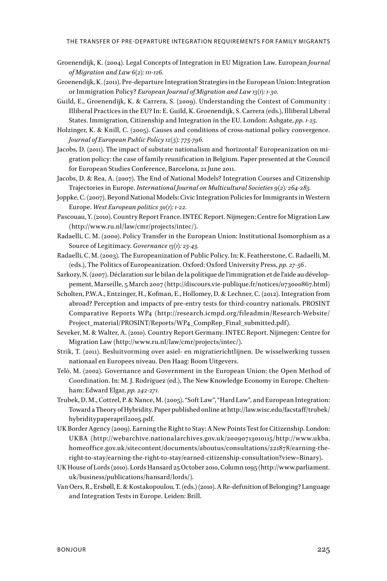- Groenendijk, K. (2004). Legal Concepts of Integration in EU Migration Law. European *Journal of Migration and Law 6(2): 111-126.*
- Groenendijk, K. (2011). Pre-departure Integration Strategies in the European Union: Integration or Immigration Policy? *European Journal of Migration and Law 13(1): 1-30.*
- Guild, E., Groenendijk, K. & Carrera, S. (2009). Understanding the Contest of Community : Illiberal Practices in the EU? In: E. Guild, K. Groenendijk, S. Carrera (eds.), Illiberal Liberal States. Immigration, Citizenship and Integration in the EU. London: Ashgate, *pp. 1-25.*
- Holzinger, K. & Knill, C. (2005). Causes and conditions of cross-national policy convergence. *Journal of European Public Policy 12(5): 775-796.*
- Jacobs, D. (2011). The impact of substate nationalism and 'horizontal' Europeanization on migration policy: the case of family reunification in Belgium. Paper presented at the Council for European Studies Conference, Barcelona, 21 June 2011.
- Jacobs, D. & Rea, A. (2007). The End of National Models? Integration Courses and Citizenship Trajectories in Europe. *International Journal on Multicultural Societies 9(2): 264-283.*
- Joppke, C. (2007). Beyond National Models: Civic Integration Policies for Immigrants in Western Europe. *West European politics 30(1): 1-22.*
- Pascouau, Y. (2010). Country Report France. INTEC Report. Nijmegen: Centre for Migration Law (http://www.ru.nl/law/cmr/projects/intec/).
- Radaelli, C. M. (2000). Policy Transfer in the European Union: Institutional Isomorphism as a Source of Legitimacy. *Governance 13(1): 25-43.*
- Radaelli, C. M. (2003). The Europeanization of Public Policy. In: K. Featherstone, C. Radaelli, M. (eds.), The Politics of Europeanization. Oxford: Oxford University Press, *pp. 27-56 .*
- Sarkozy, N. (2007). Déclaration sur le bilan de la politique de l'immigration et de l'aide au développement, Marseille, 5 March 2007 (http://discours.vie-publique.fr/notices/073000867.html)
- Scholten, P.W.A., Entzinger, H., Kofman, E., Hollomey, D. & Lechner, C. (2012). Integration from abroad? Perception and impacts of pre-entry tests for third-country nationals. PROSINT Comparative Reports WP4 (http://research.icmpd.org/fileadmin/Research-Website/ Project\_material/PROSINT/Reports/WP4\_CompRep\_Final\_submitted.pdf).
- Seveker, M. & Walter, A. (2010). Country Report Germany. INTEC Report. Nijmegen: Centre for Migration Law (http://www.ru.nl/law/cmr/projects/intec/).
- Strik, T. (2011). Besluitvorming over asiel- en migratierichtlijnen. De wisselwerking tussen nationaal en Europees niveau. Den Haag: Boom Uitgevers.
- Telò, M. (2002). Governance and Government in the European Union: the Open Method of Coordination. In: M. J. Rodriguez (ed.), The New Knowledge Economy in Europe. Cheltenham: Edward Elgar, *pp. 242-271.*
- Trubek, D. M., Cottrel, P. & Nance, M. (2005). "Soft Law", "Hard Law", and European Integration: Toward a Theory of Hybridity. Paper published online at http://law.wisc.edu/facstaff/trubek/ hybriditypaperapril2005.pdf.
- UK Border Agency (2009). Earning the Right to Stay: A New Points Test for Citizenship. London: UKBA (http://webarchive.nationalarchives.gov.uk/20090713010115/http://www.ukba. homeoffice.gov.uk/sitecontent/documents/aboutus/consultations/221878/earning-theright-to-stay/earning-the-right-to-stay/earned-citizenship-consultation?view=Binary).
- UK House of Lords (2010). Lords Hansard 25 October 2010, Column 1095 (http://www.parliament. uk/business/publications/hansard/lords/).
- Van Oers, R., Ersbøll, E. & Kostakopoulou, T. (eds.) (2010). A Re-definition of Belonging? Language and Integration Tests in Europe. Leiden: Brill.